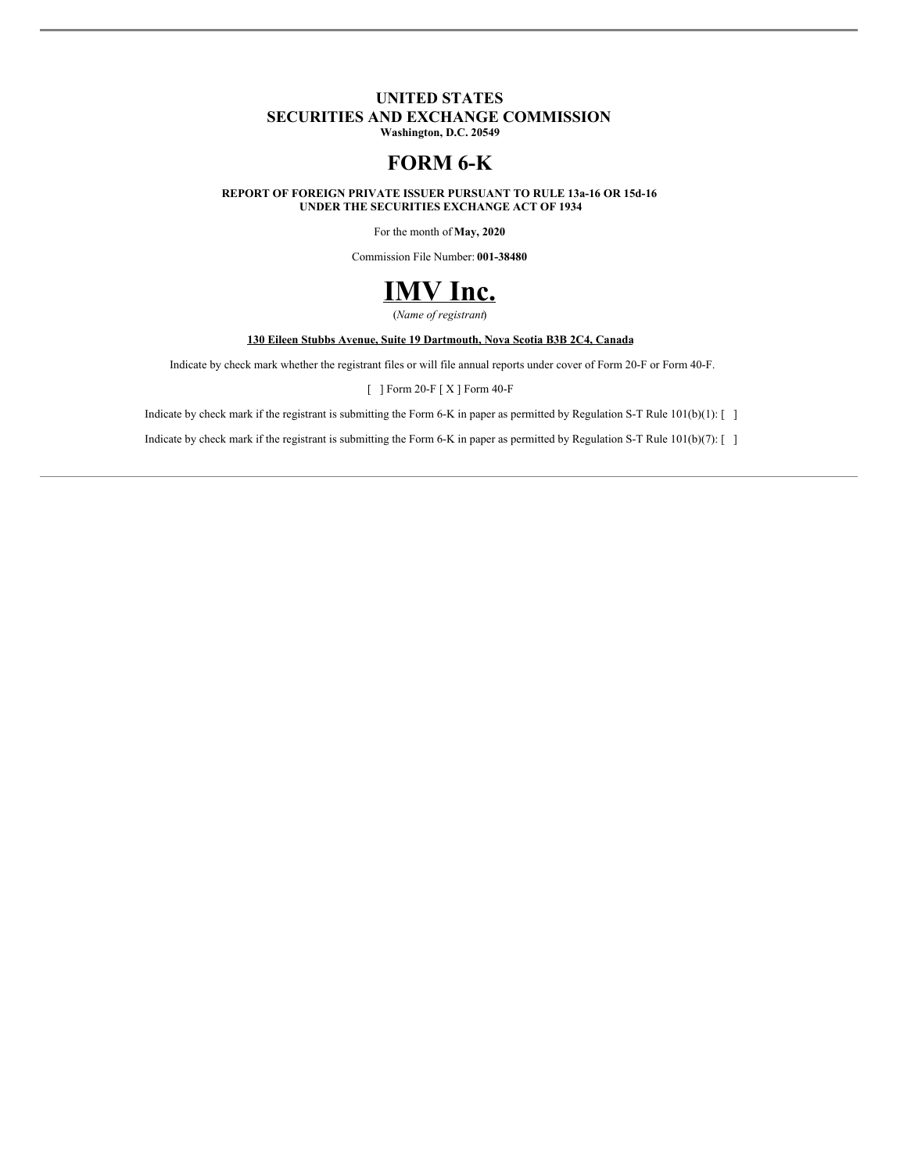## **UNITED STATES SECURITIES AND EXCHANGE COMMISSION**

**Washington, D.C. 20549**

# **FORM 6-K**

**REPORT OF FOREIGN PRIVATE ISSUER PURSUANT TO RULE 13a-16 OR 15d-16 UNDER THE SECURITIES EXCHANGE ACT OF 1934**

For the month of **May, 2020**

Commission File Number: **001-38480**



(*Name of registrant*)

#### **130 Eileen Stubbs Avenue, Suite 19 Dartmouth, Nova Scotia B3B 2C4, Canada**

Indicate by check mark whether the registrant files or will file annual reports under cover of Form 20-F or Form 40-F.

[ ] Form 20-F [ X ] Form 40-F

Indicate by check mark if the registrant is submitting the Form 6-K in paper as permitted by Regulation S-T Rule 101(b)(1): [ ]

Indicate by check mark if the registrant is submitting the Form 6-K in paper as permitted by Regulation S-T Rule 101(b)(7): [ ]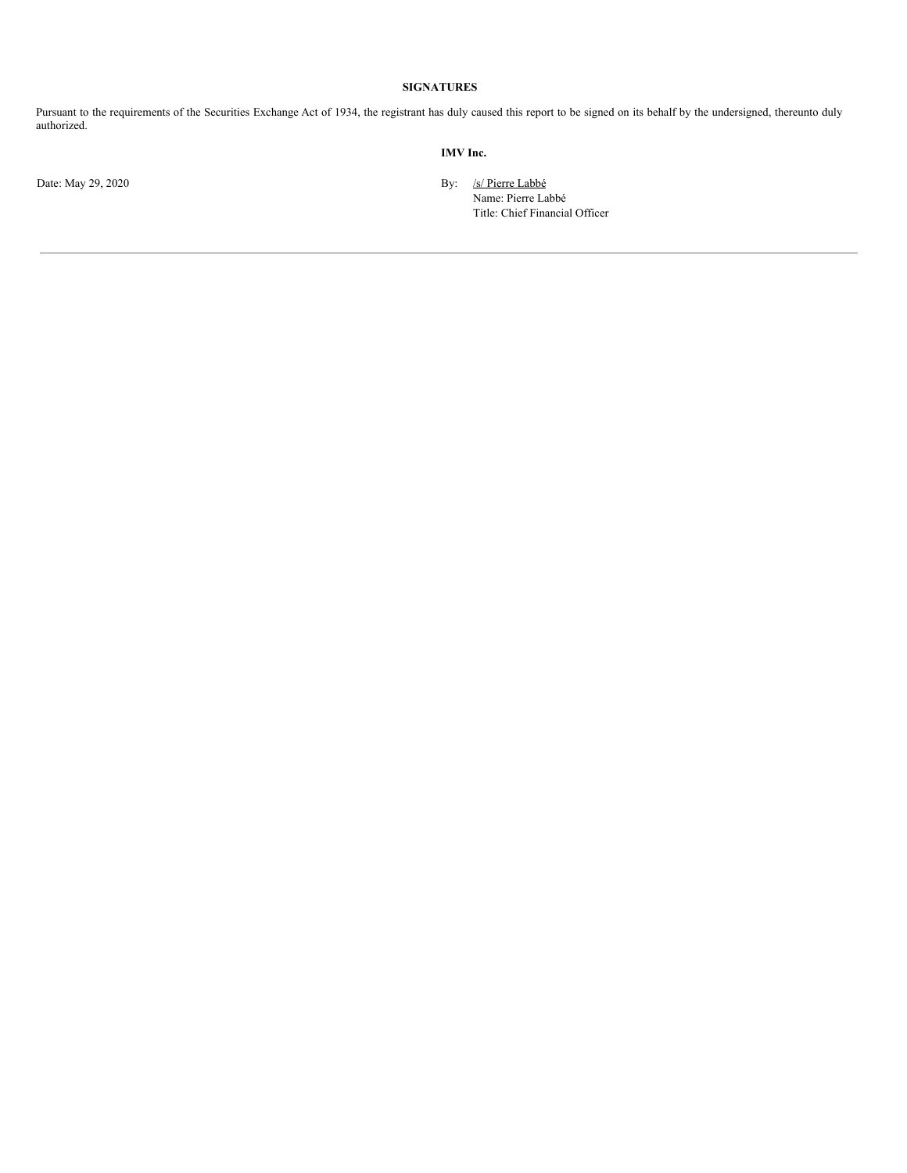## **SIGNATURES**

Pursuant to the requirements of the Securities Exchange Act of 1934, the registrant has duly caused this report to be signed on its behalf by the undersigned, thereunto duly authorized.

**IMV Inc.**

Date: May 29, 2020 By: /s/ Pierre Labbé Name: Pierre Labbé Title: Chief Financial Officer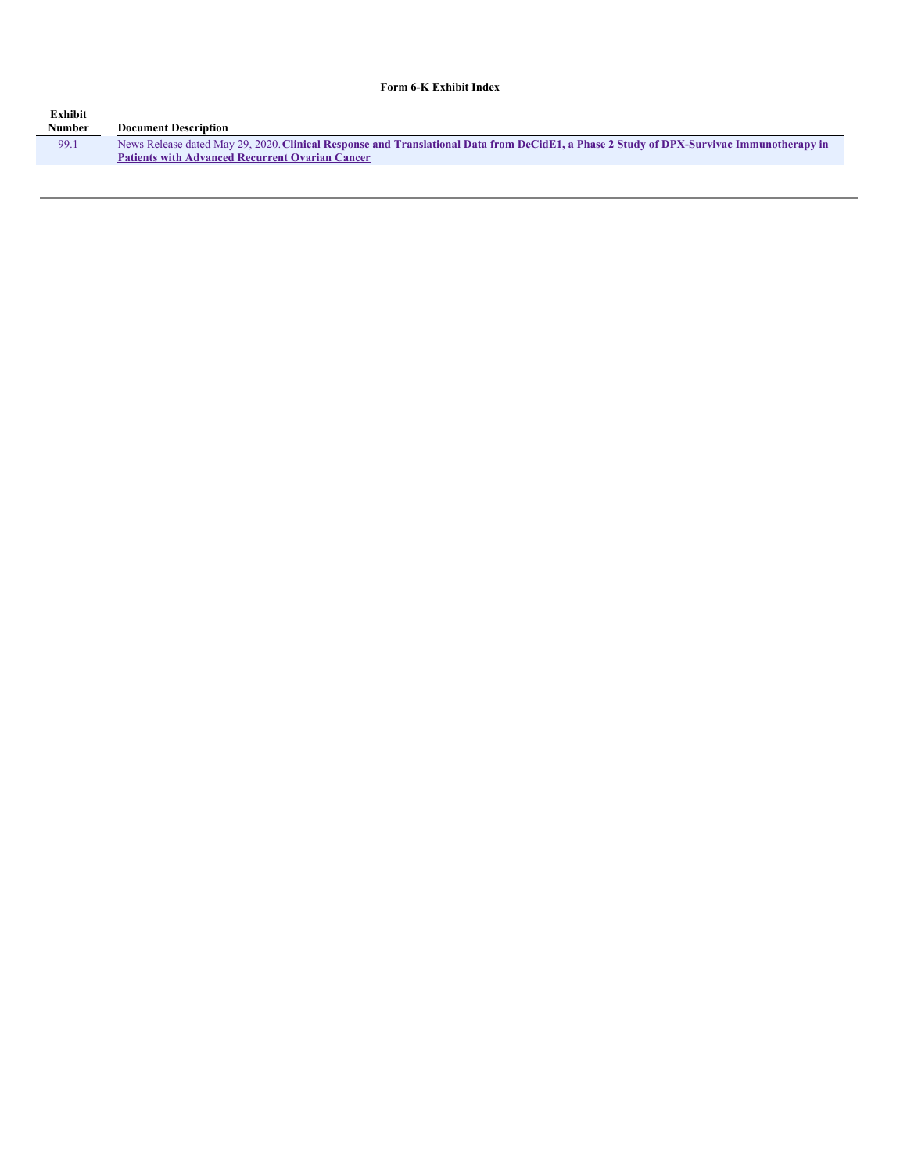## **Form 6-K Exhibit Index**

| Exhibit       |                                                                                                                                          |
|---------------|------------------------------------------------------------------------------------------------------------------------------------------|
| <b>Number</b> | <b>Document Description</b>                                                                                                              |
| 99.1          | News Release dated May 29, 2020. Clinical Response and Translational Data from DeCidE1, a Phase 2 Study of DPX-Survivac Immunotherapy in |
|               | <b>Patients with Advanced Recurrent Ovarian Cancer</b>                                                                                   |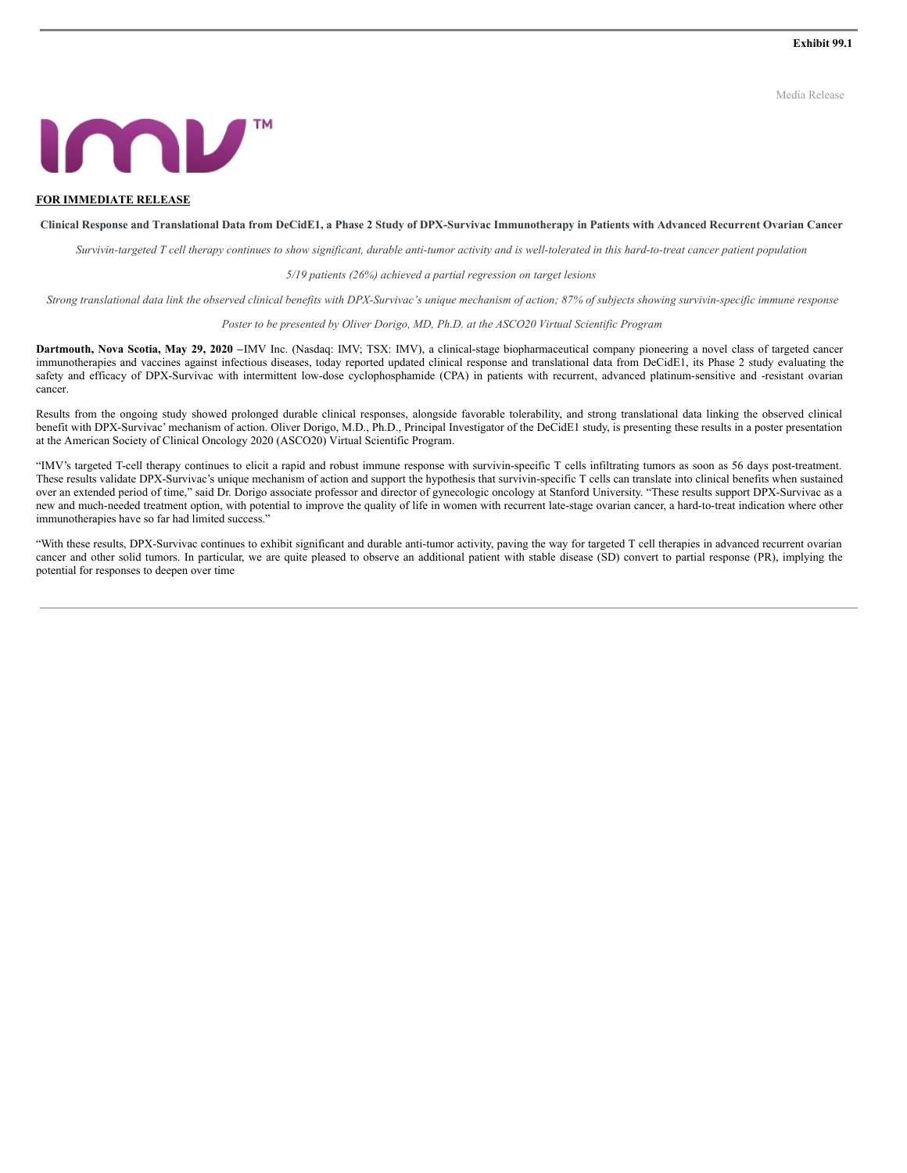Media Release



## **FOR IMMEDIATE RELEASE**

Clinical Response and Translational Data from DeCidE1, a Phase 2 Study of DPX-Survivac Immunotherapy in Patients with Advanced Recurrent Ovarian Cancer

Survivin-targeted T cell therapy continues to show significant, durable anti-tumor activity and is well-tolerated in this hard-to-treat cancer patient population

*5/19 patients (26%) achieved a partial regression on target lesions*

Strong translational data link the observed clinical benefits with DPX-Survivac's unique mechanism of action; 87% of subjects showing survivin-specific immune response

#### *Poster to be presented by Oliver Dorigo, MD, Ph.D. at the ASCO20 Virtual Scientific Program*

**Dartmouth, Nova Scotia, May 29, 2020 –**IMV Inc. (Nasdaq: IMV; TSX: IMV), a clinical-stage biopharmaceutical company pioneering a novel class of targeted cancer immunotherapies and vaccines against infectious diseases, today reported updated clinical response and translational data from DeCidE1, its Phase 2 study evaluating the safety and efficacy of DPX-Survivac with intermittent low-dose cyclophosphamide (CPA) in patients with recurrent, advanced platinum-sensitive and -resistant ovarian cancer.

Results from the ongoing study showed prolonged durable clinical responses, alongside favorable tolerability, and strong translational data linking the observed clinical benefit with DPX-Survivac' mechanism of action. Oliver Dorigo, M.D., Ph.D., Principal Investigator of the DeCidE1 study, is presenting these results in a poster presentation at the American Society of Clinical Oncology 2020 (ASCO20) Virtual Scientific Program.

"IMV's targeted T-cell therapy continues to elicit a rapid and robust immune response with survivin-specific T cells infiltrating tumors as soon as 56 days post-treatment. These results validate DPX-Survivac's unique mechanism of action and support the hypothesis that survivin-specific T cells can translate into clinical benefits when sustained over an extended period of time," said Dr. Dorigo associate professor and director of gynecologic oncology at Stanford University. "These results support DPX-Survivac as a new and much-needed treatment option, with potential to improve the quality of life in women with recurrent late-stage ovarian cancer, a hard-to-treat indication where other immunotherapies have so far had limited success."

"With these results, DPX-Survivac continues to exhibit significant and durable anti-tumor activity, paving the way for targeted T cell therapies in advanced recurrent ovarian cancer and other solid tumors. In particular, we are quite pleased to observe an additional patient with stable disease (SD) convert to partial response (PR), implying the potential for responses to deepen over time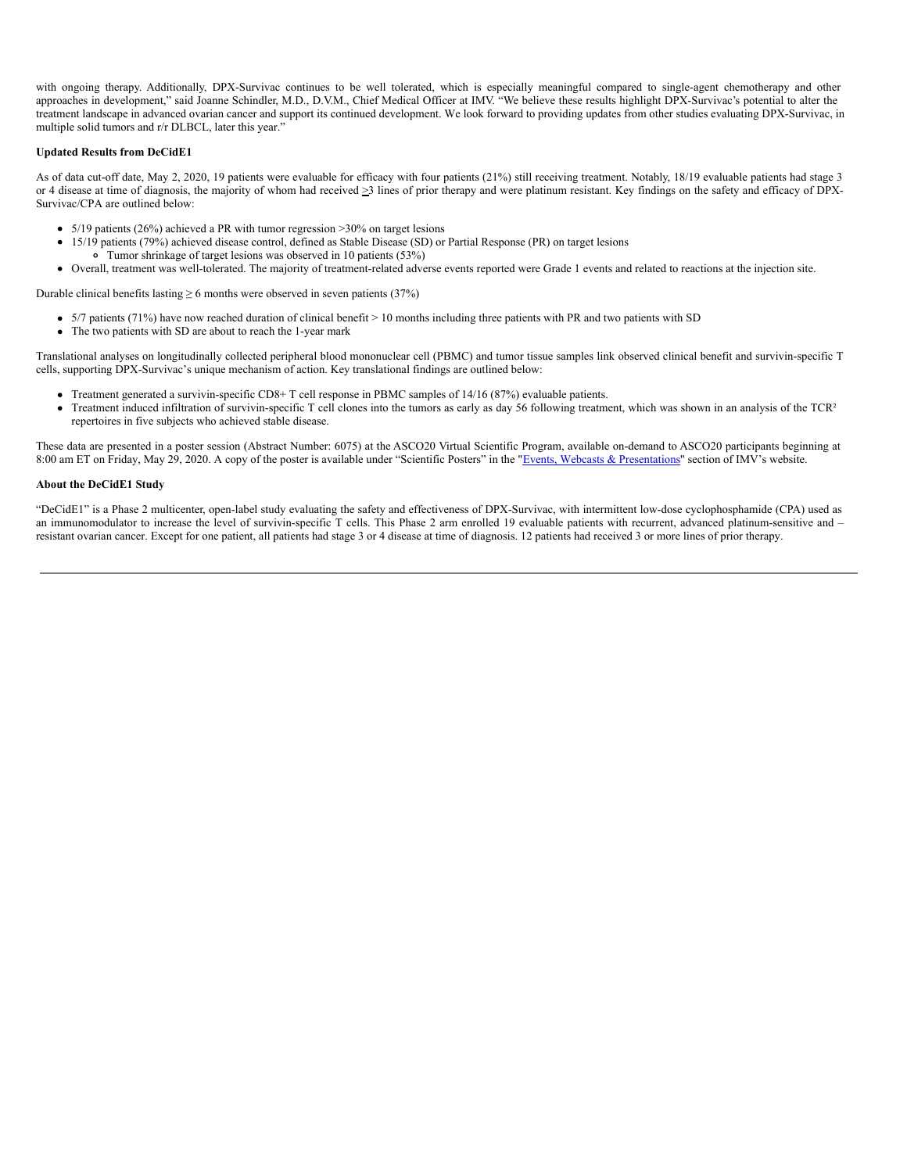<span id="page-4-0"></span>with ongoing therapy. Additionally, DPX-Survivac continues to be well tolerated, which is especially meaningful compared to single-agent chemotherapy and other approaches in development," said Joanne Schindler, M.D., D.V.M., Chief Medical Officer at IMV. "We believe these results highlight DPX-Survivac's potential to alter the treatment landscape in advanced ovarian cancer and support its continued development. We look forward to providing updates from other studies evaluating DPX-Survivac, in multiple solid tumors and r/r DLBCL, later this year."

#### **Updated Results from DeCidE1**

As of data cut-off date, May 2, 2020, 19 patients were evaluable for efficacy with four patients (21%) still receiving treatment. Notably, 18/19 evaluable patients had stage 3 or 4 disease at time of diagnosis, the majority of whom had received  $\geq 3$  lines of prior therapy and were platinum resistant. Key findings on the safety and efficacy of DPX-Survivac/CPA are outlined below:

- $\bullet$  5/19 patients (26%) achieved a PR with tumor regression >30% on target lesions
- 15/19 patients (79%) achieved disease control, defined as Stable Disease (SD) or Partial Response (PR) on target lesions
	- Tumor shrinkage of target lesions was observed in 10 patients (53%)
- Overall, treatment was well-tolerated. The majority of treatment-related adverse events reported were Grade 1 events and related to reactions at the injection site.

Durable clinical benefits lasting  $\geq 6$  months were observed in seven patients (37%)

- 5/7 patients (71%) have now reached duration of clinical benefit > 10 months including three patients with PR and two patients with SD
- The two patients with SD are about to reach the 1-year mark

Translational analyses on longitudinally collected peripheral blood mononuclear cell (PBMC) and tumor tissue samples link observed clinical benefit and survivin-specific T cells, supporting DPX-Survivac's unique mechanism of action. Key translational findings are outlined below:

- Treatment generated a survivin-specific CD8+ T cell response in PBMC samples of 14/16 (87%) evaluable patients.
- Treatment induced infiltration of survivin-specific T cell clones into the tumors as early as day 56 following treatment, which was shown in an analysis of the TCR<sup>2</sup> repertoires in five subjects who achieved stable disease.

These data are presented in a poster session (Abstract Number: 6075) at the ASCO20 Virtual Scientific Program, available on-demand to ASCO20 participants beginning at 8:00 am ET on Friday, May 29, 2020. A copy of the poster is available under "Scientific Posters" in the "Events, Webcasts & Presentations" section of IMV's website.

#### **About the DeCidE1 Study**

"DeCidE1" is a Phase 2 multicenter, open-label study evaluating the safety and effectiveness of DPX-Survivac, with intermittent low-dose cyclophosphamide (CPA) used as an immunomodulator to increase the level of survivin-specific T cells. This Phase 2 arm enrolled 19 evaluable patients with recurrent, advanced platinum-sensitive and resistant ovarian cancer. Except for one patient, all patients had stage 3 or 4 disease at time of diagnosis. 12 patients had received 3 or more lines of prior therapy.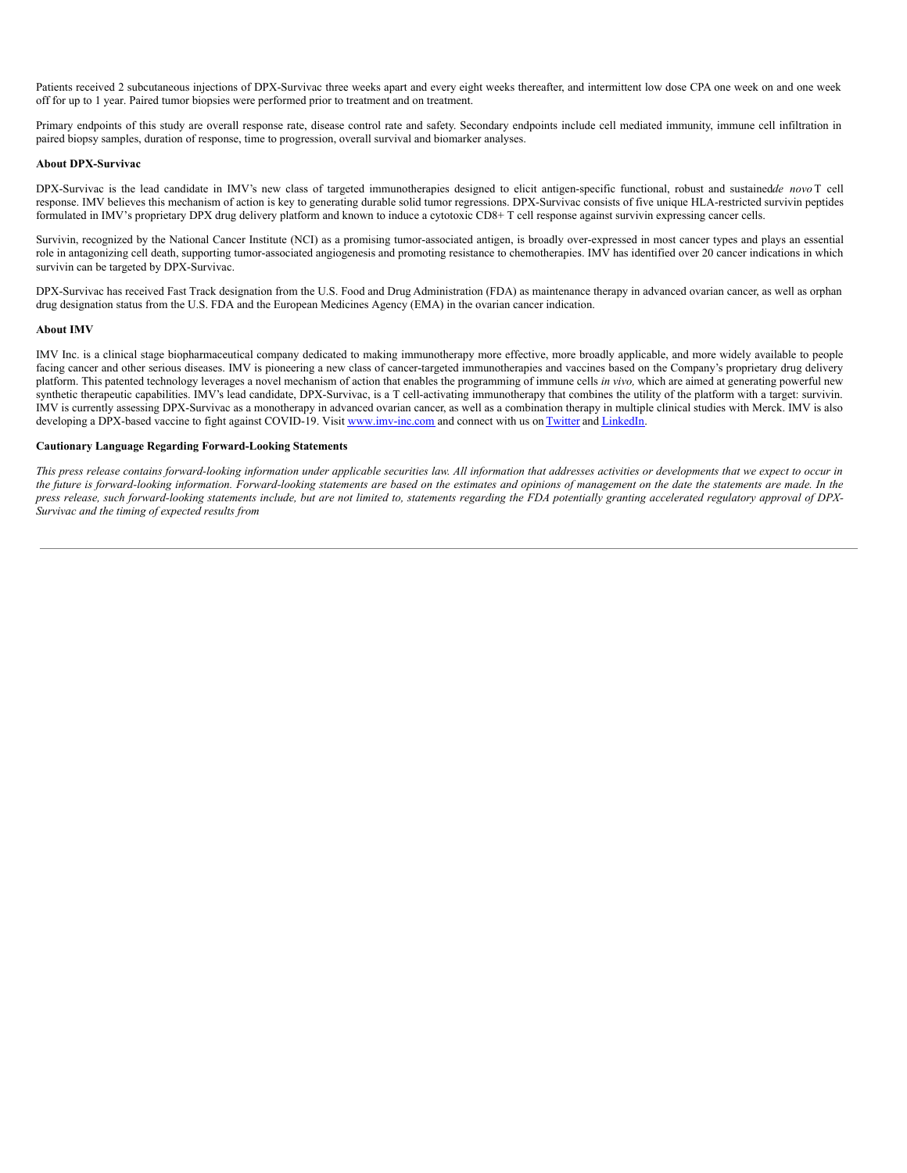Patients received 2 subcutaneous injections of DPX-Survivac three weeks apart and every eight weeks thereafter, and intermittent low dose CPA one week on and one week off for up to 1 year. Paired tumor biopsies were performed prior to treatment and on treatment.

Primary endpoints of this study are overall response rate, disease control rate and safety. Secondary endpoints include cell mediated immunity, immune cell infiltration in paired biopsy samples, duration of response, time to progression, overall survival and biomarker analyses.

#### **About DPX-Survivac**

DPX-Survivac is the lead candidate in IMV's new class of targeted immunotherapies designed to elicit antigen-specific functional, robust and sustained*de novo* T cell response. IMV believes this mechanism of action is key to generating durable solid tumor regressions. DPX-Survivac consists of five unique HLA-restricted survivin peptides formulated in IMV's proprietary DPX drug delivery platform and known to induce a cytotoxic CD8+ T cell response against survivin expressing cancer cells.

Survivin, recognized by the National Cancer Institute (NCI) as a promising tumor-associated antigen, is broadly over-expressed in most cancer types and plays an essential role in antagonizing cell death, supporting tumor-associated angiogenesis and promoting resistance to chemotherapies. IMV has identified over 20 cancer indications in which survivin can be targeted by DPX-Survivac.

DPX-Survivac has received Fast Track designation from the U.S. Food and Drug Administration (FDA) as maintenance therapy in advanced ovarian cancer, as well as orphan drug designation status from the U.S. FDA and the European Medicines Agency (EMA) in the ovarian cancer indication.

#### **About IMV**

IMV Inc. is a clinical stage biopharmaceutical company dedicated to making immunotherapy more effective, more broadly applicable, and more widely available to people facing cancer and other serious diseases. IMV is pioneering a new class of cancer-targeted immunotherapies and vaccines based on the Company's proprietary drug delivery platform. This patented technology leverages a novel mechanism of action that enables the programming of immune cells *in vivo,* which are aimed at generating powerful new synthetic therapeutic capabilities. IMV's lead candidate, DPX-Survivac, is a T cell-activating immunotherapy that combines the utility of the platform with a target: survivin. IMV is currently assessing DPX-Survivac as a monotherapy in advanced ovarian cancer, as well as a combination therapy in multiple clinical studies with Merck. IMV is also developing a DPX-based vaccine to fight against COVID-19. Visit www.imv-inc.com and connect with us on Twitter and LinkedIn.

### **Cautionary Language Regarding Forward-Looking Statements**

This press release contains forward-looking information under applicable securities law. All information that addresses activities or developments that we expect to occur in the future is forward-looking information. Forward-looking statements are based on the estimates and opinions of management on the date the statements are made. In the press release, such forward-looking statements include, but are not limited to, statements regarding the FDA potentially granting accelerated regulatory approval of DPX-*Survivac and the timing of expected results from*